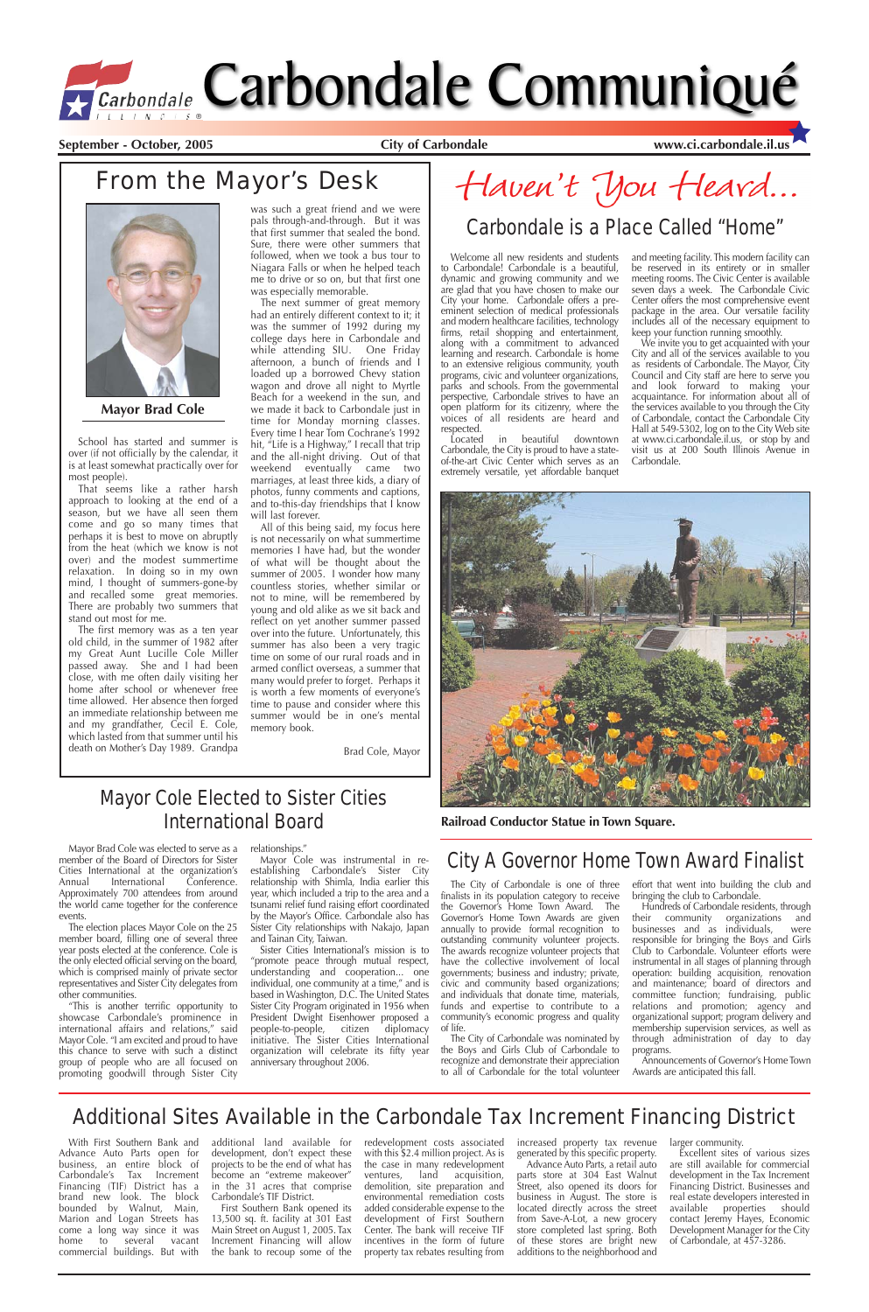Welcome all new residents and students to Carbondale! Carbondale is a beautiful, dynamic and growing community and we are glad that you have chosen to make our City your home. Carbondale offers a preeminent selection of medical professionals and modern healthcare facilities, technology firms, retail shopping and entertainment, along with a commitment to advanced learning and research. Carbondale is home to an extensive religious community, youth programs, civic and volunteer organizations, parks and schools. From the governmental perspective, Carbondale strives to have an open platform for its citizenry, where the voices of all residents are heard and respected.

Located in beautiful downtown Carbondale, the City is proud to have a stateof-the-art Civic Center which serves as an extremely versatile, yet affordable banquet

and meeting facility. This modern facility can be reserved in its entirety or in smaller meeting rooms. The Civic Center is available seven days a week. The Carbondale Civic Center offers the most comprehensive event package in the area. Our versatile facility includes all of the necessary equipment to keep your function running smoothly.

We invite you to get acquainted with your City and all of the services available to you as residents of Carbondale. The Mayor, City Council and City staff are here to serve you and look forward to making your acquaintance. For information about all of the services available to you through the City of Carbondale, contact the Carbondale City Hall at 549-5302, log on to the City Web site at www.ci.carbondale.il.us, or stop by and visit us at 200 South Illinois Avenue in Carbondale.

School has started and summer is over (if not officially by the calendar, it is at least somewhat practically over for most people).

That seems like a rather harsh approach to looking at the end of a season, but we have all seen them come and go so many times that perhaps it is best to move on abruptly from the heat (which we know is not over) and the modest summertime relaxation. In doing so in my own mind, I thought of summers-gone-by and recalled some great memories. There are probably two summers that stand out most for me.

The first memory was as a ten year old child, in the summer of 1982 after my Great Aunt Lucille Cole Miller passed away. She and I had been close, with me often daily visiting her home after school or whenever free time allowed. Her absence then forged an immediate relationship between me and my grandfather, Cecil E. Cole, which lasted from that summer until his death on Mother's Day 1989. Grandpa

was such a great friend and we were pals through-and-through. But it was that first summer that sealed the bond. Sure, there were other summers that followed, when we took a bus tour to Niagara Falls or when he helped teach me to drive or so on, but that first one was especially memorable.

The next summer of great memory had an entirely different context to it; it was the summer of 1992 during my college days here in Carbondale and while attending SIU. One Friday afternoon, a bunch of friends and I loaded up a borrowed Chevy station wagon and drove all night to Myrtle Beach for a weekend in the sun, and we made it back to Carbondale just in time for Monday morning classes. Every time I hear Tom Cochrane's 1992 hit, "Life is a Highway," I recall that trip and the all-night driving. Out of that weekend eventually came two marriages, at least three kids, a diary of photos, funny comments and captions, and to-this-day friendships that I know will last forever.

> Hundreds of Carbondale residents, through<br>
> eir community organizations and their community organizations businesses and as individuals, were responsible for bringing the Boys and Girls Club to Carbondale. Volunteer efforts were instrumental in all stages of planning through operation: building acquisition, renovation and maintenance; board of directors and committee function; fundraising, public relations and promotion; agency and organizational support; program delivery and membership supervision services, as well as through administration of day to day programs.

by the Mayor's Office. Carbondale also has Sister City relationships with Nakajo, Japan and Tainan City, Taiwan. Sister Cities International's mission is to

promote peace through mutual respect, understanding and cooperation... one individual, one community at a time," and is based in Washington, D.C. The United States Sister City Program originated in 1956 when President Dwight Eisenhower proposed a people-to-people, citizen diplomacy initiative. The Sister Cities International organization will celebrate its fifty year anniversary throughout 2006.

Haven't You Heard...

All of this being said, my focus here is not necessarily on what summertime memories I have had, but the wonder of what will be thought about the summer of 2005. I wonder how many countless stories, whether similar or not to mine, will be remembered by young and old alike as we sit back and reflect on yet another summer passed over into the future. Unfortunately, this summer has also been a very tragic time on some of our rural roads and in armed conflict overseas, a summer that many would prefer to forget. Perhaps it is worth a few moments of everyone's time to pause and consider where this summer would be in one's mental memory book.

Brad Cole, Mayor

# Carbondale Carbondale Communiqué

**September - October, 2005 City of Carbondale www.ci.carbondale.il.us**

### From the Mayor's Desk



**Mayor Brad Cole**

The City of Carbondale is one of three finalists in its population category to receive the Governor's Home Town Award. The Governor's Home Town Awards are given annually to provide formal recognition to outstanding community volunteer projects. The awards recognize volunteer projects that have the collective involvement of local governments; business and industry; private, civic and community based organizations; and individuals that donate time, materials, funds and expertise to contribute to a community's economic progress and quality of life. The City of Carbondale was nominated by the Boys and Girls Club of Carbondale to recognize and demonstrate their appreciation to all of Carbondale for the total volunteer

effort that went into building the club and bringing the club to Carbondale.

Announcements of Governor's Home Town Awards are anticipated this fall.

### City A Governor Home Town Award Finalist

### Carbondale is a Place Called "Home"

### Mayor Cole Elected to Sister Cities International Board

Mayor Brad Cole was elected to serve as a member of the Board of Directors for Sister Cities International at the organization's<br>Annual International Conference. **International** Approximately 700 attendees from around the world came together for the conference events.

The election places Mayor Cole on the 25 member board, filling one of several three year posts elected at the conference. Cole is the only elected official serving on the board, which is comprised mainly of private sector representatives and Sister City delegates from other communities. "This is another terrific opportunity to showcase Carbondale's prominence in international affairs and relations," said Mayor Cole. "I am excited and proud to have this chance to serve with such a distinct group of people who are all focused on promoting goodwill through Sister City

relationships."

Mayor Cole was instrumental in reestablishing Carbondale's Sister City relationship with Shimla, India earlier this year, which included a trip to the area and a tsunami relief fund raising effort coordinated

With First Southern Bank and Advance Auto Parts open for business, an entire block of Carbondale's Tax Increment Financing (TIF) District has a brand new look. The block bounded by Walnut, Main, Marion and Logan Streets has come a long way since it was home to several vacant commercial buildings. But with

additional land available for development, don't expect these projects to be the end of what has become an "extreme makeover" in the 31 acres that comprise Carbondale's TIF District.

First Southern Bank opened its 13,500 sq. ft. facility at 301 East Main Street on August 1, 2005. Tax Increment Financing will allow the bank to recoup some of the redevelopment costs associated with this \$2.4 million project. As is the case in many redevelopment ventures, land acquisition, demolition, site preparation and environmental remediation costs added considerable expense to the development of First Southern Center. The bank will receive TIF incentives in the form of future property tax rebates resulting from increased property tax revenue generated by this specific property. Advance Auto Parts, a retail auto parts store at 304 East Walnut Street, also opened its doors for business in August. The store is located directly across the street from Save-A-Lot, a new grocery store completed last spring. Both of these stores are bright new

additions to the neighborhood and

larger community.

Excellent sites of various sizes are still available for commercial development in the Tax Increment Financing District. Businesses and real estate developers interested in available properties should contact Jeremy Hayes, Economic Development Manager for the City of Carbondale, at 457-3286.

### Additional Sites Available in the Carbondale Tax Increment Financing District



**Railroad Conductor Statue in Town Square.**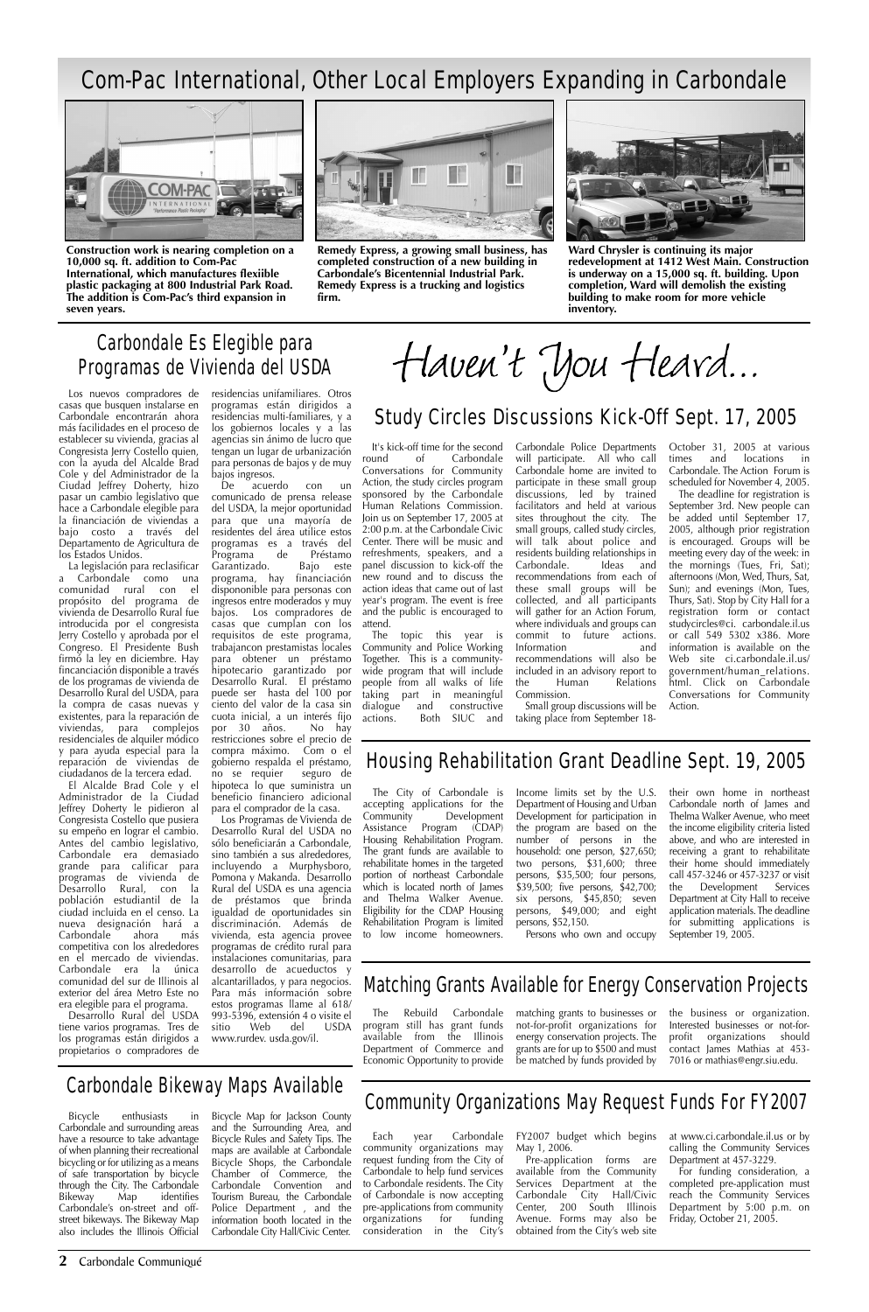**2** Carbondale Communiqué

It's kick-off time for the second round of Carbondale Conversations for Community Action, the study circles program sponsored by the Carbondale Human Relations Commission. Join us on September 17, 2005 at 2:00 p.m. at the Carbondale Civic Center. There will be music and refreshments, speakers, and a panel discussion to kick-off the new round and to discuss the action ideas that came out of last year's program. The event is free and the public is encouraged to attend.

The topic this year is Community and Police Working Together. This is a communitywide program that will include people from all walks of life taking part in meaningful dialogue and constructive actions. Both SIUC and Carbondale Police Departments will participate. All who call Carbondale home are invited to participate in these small group discussions, led by trained facilitators and held at various sites throughout the city. The small groups, called study circles, will talk about police and residents building relationships in Carbondale. Ideas and recommendations from each of these small groups will be collected, and all participants will gather for an Action Forum, where individuals and groups can commit to future actions. Information and recommendations will also be included in an advisory report to the Human Relations Commission.

Small group discussions will be taking place from September 18October 31, 2005 at various times and locations in Carbondale. The Action Forum is scheduled for November 4, 2005.

The deadline for registration is September 3rd. New people can be added until September 17, 2005, although prior registration is encouraged. Groups will be meeting every day of the week: in the mornings (Tues, Fri, Sat); afternoons (Mon, Wed, Thurs, Sat, Sun); and evenings (Mon, Tues, Thurs, Sat). Stop by City Hall for a registration form or contact studycircles@ci. carbondale.il.us or call 549 5302 x386. More information is available on the Web site ci.carbondale.il.us/ government/human\_relations. html. Click on Carbondale Conversations for Community Action.

### Study Circles Discussions Kick-Off Sept. 17, 2005

Haven't you Heard...

### Carbondale Es Elegible para Programas de Vivienda del USDA

### Com-Pac International, Other Local Employers Expanding in Carbondale



**Construction work is nearing completion on a 10,000 sq. ft. addition to Com-Pac International, which manufactures flexiible plastic packaging at 800 Industrial Park Road. The addition is Com-Pac's third expansion in seven years.**



**Remedy Express, a growing small business, has completed construction of a new building in Carbondale's Bicentennial Industrial Park. Remedy Express is a trucking and logistics firm.**



**Ward Chrysler is continuing its major redevelopment at 1412 West Main. Construction is underway on a 15,000 sq. ft. building. Upon completion, Ward will demolish the existing building to make room for more vehicle inventory.**

Los nuevos compradores de casas que busquen instalarse en Carbondale encontrarán ahora más facilidades en el proceso de establecer su vivienda, gracias al Congresista Jerry Costello quien, con la ayuda del Alcalde Brad Cole y del Administrador de la Ciudad Jeffrey Doherty, hizo pasar un cambio legislativo que hace a Carbondale elegible para la financiación de viviendas a bajo costo a través del Departamento de Agricultura de los Estados Unidos.

> The City of Carbondale is accepting applications for the Community Development Assistance Program (CDAP) Housing Rehabilitation Program. The grant funds are available to rehabilitate homes in the targeted portion of northeast Carbondale which is located north of James and Thelma Walker Avenue. Eligibility for the CDAP Housing Rehabilitation Program is limited to low income homeowners.

La legislación para reclasificar a Carbondale como una comunidad rural con el propósito del programa de vivienda de Desarrollo Rural fue introducida por el congresista Jerry Costello y aprobada por el Congreso. El Presidente Bush firmó la ley en diciembre. Hay fincanciación disponible a través de los programas de vivienda de Desarrollo Rural del USDA, para la compra de casas nuevas y existentes, para la reparación de viviendas, para complejos residenciales de alquiler módico y para ayuda especial para la reparación de viviendas de ciudadanos de la tercera edad.

El Alcalde Brad Cole y el Administrador de la Ciudad Jeffrey Doherty le pidieron al Congresista Costello que pusiera su empeño en lograr el cambio. Antes del cambio legislativo, Carbondale era demasiado grande para calificar para programas de vivienda de Desarrollo Rural, con la población estudiantil de la ciudad incluida en el censo. La nueva designación hará a Carbondale ahora más competitiva con los alrededores en el mercado de viviendas.

Carbondale era la única comunidad del sur de Illinois al exterior del área Metro Este no era elegible para el programa.

Desarrollo Rural del USDA tiene varios programas. Tres de los programas están dirigidos a propietarios o compradores de

residencias unifamiliares. Otros programas están dirigidos a residencias multi-familiares, y a los gobiernos locales y a las agencias sin ánimo de lucro que tengan un lugar de urbanización para personas de bajos y de muy bajos ingresos.

De acuerdo con un comunicado de prensa release del USDA, la mejor oportunidad para que una mayoría de residentes del área utilice estos programas es a través del Programa de Préstamo<br>Garantizado. Bajo este Garantizado. programa, hay financiación dispononible para personas con ingresos entre moderados y muy bajos. Los compradores de casas que cumplan con los requisitos de este programa, trabajancon prestamistas locales para obtener un préstamo hipotecario garantizado por Desarrollo Rural. El préstamo puede ser hasta del 100 por ciento del valor de la casa sin cuota inicial, a un interés fijo por 30 años. restricciones sobre el precio de compra máximo. Com o el gobierno respalda el préstamo,<br>no se requier seguro de no se requier hipoteca lo que suministra un beneficio financiero adicional para el comprador de la casa.

Los Programas de Vivienda de Desarrollo Rural del USDA no sólo beneficiarán a Carbondale, sino también a sus alrededores, incluyendo a Murphysboro, Pomona y Makanda. Desarrollo Rural del USDA es una agencia de préstamos que brinda igualdad de oportunidades sin discriminación. Además de vivienda, esta agencia provee programas de crédito rural para instalaciones comunitarias, para desarrollo de acueductos y alcantarillados, y para negocios. Para más información sobre estos programas llame al 618/ 993-5396, extensión 4 o visite el sitio Web del USDA www.rurdev. usda.gov/il.

### Housing Rehabilitation Grant Deadline Sept. 19, 2005

Income limits set by the U.S. Department of Housing and Urban Development for participation in the program are based on the number of persons in the household: one person, \$27,650; two persons, \$31,600; three persons, \$35,500; four persons, \$39,500; five persons, \$42,700; six persons, \$45,850; seven persons, \$49,000; and eight persons, \$52,150.

Persons who own and occupy

their own home in northeast Carbondale north of James and Thelma Walker Avenue, who meet the income eligibility criteria listed above, and who are interested in receiving a grant to rehabilitate their home should immediately call 457-3246 or 457-3237 or visit the Development Services Department at City Hall to receive application materials. The deadline for submitting applications is September 19, 2005.

### Matching Grants Available for Energy Conservation Projects

program still has grant funds available from the Illinois Department of Commerce and Economic Opportunity to provide

The Rebuild Carbondale matching grants to businesses or not-for-profit organizations for energy conservation projects. The grants are for up to \$500 and must be matched by funds provided by

the business or organization. Interested businesses or not-forprofit organizations should contact James Mathias at 453- 7016 or mathias@engr.siu.edu.

### Community Organizations May Request Funds For FY2007

Each year Carbondale community organizations may request funding from the City of Carbondale to help fund services to Carbondale residents. The City of Carbondale is now accepting pre-applications from community<br>organizations for funding organizations for consideration in the City's

FY2007 budget which begins May 1, 2006.

Pre-application forms are available from the Community Services Department at the Carbondale City Hall/Civic Center, 200 South Illinois Avenue. Forms may also be obtained from the City's web site

at www.ci.carbondale.il.us or by calling the Community Services Department at 457-3229.

For funding consideration, a completed pre-application must reach the Community Services Department by 5:00 p.m. on Friday, October 21, 2005.

### Carbondale Bikeway Maps Available

Bicycle enthusiasts in Carbondale and surrounding areas have a resource to take advantage of when planning their recreational bicycling or for utilizing as a means of safe transportation by bicycle through the City. The Carbondale<br>Bikeway Map identifies **Bikeway** Carbondale's on-street and offstreet bikeways. The Bikeway Map also includes the Illinois Official

Bicycle Map for Jackson County and the Surrounding Area, and Bicycle Rules and Safety Tips. The maps are available at Carbondale Bicycle Shops, the Carbondale Chamber of Commerce, the Carbondale Convention and Tourism Bureau, the Carbondale Police Department , and the information booth located in the Carbondale City Hall/Civic Center.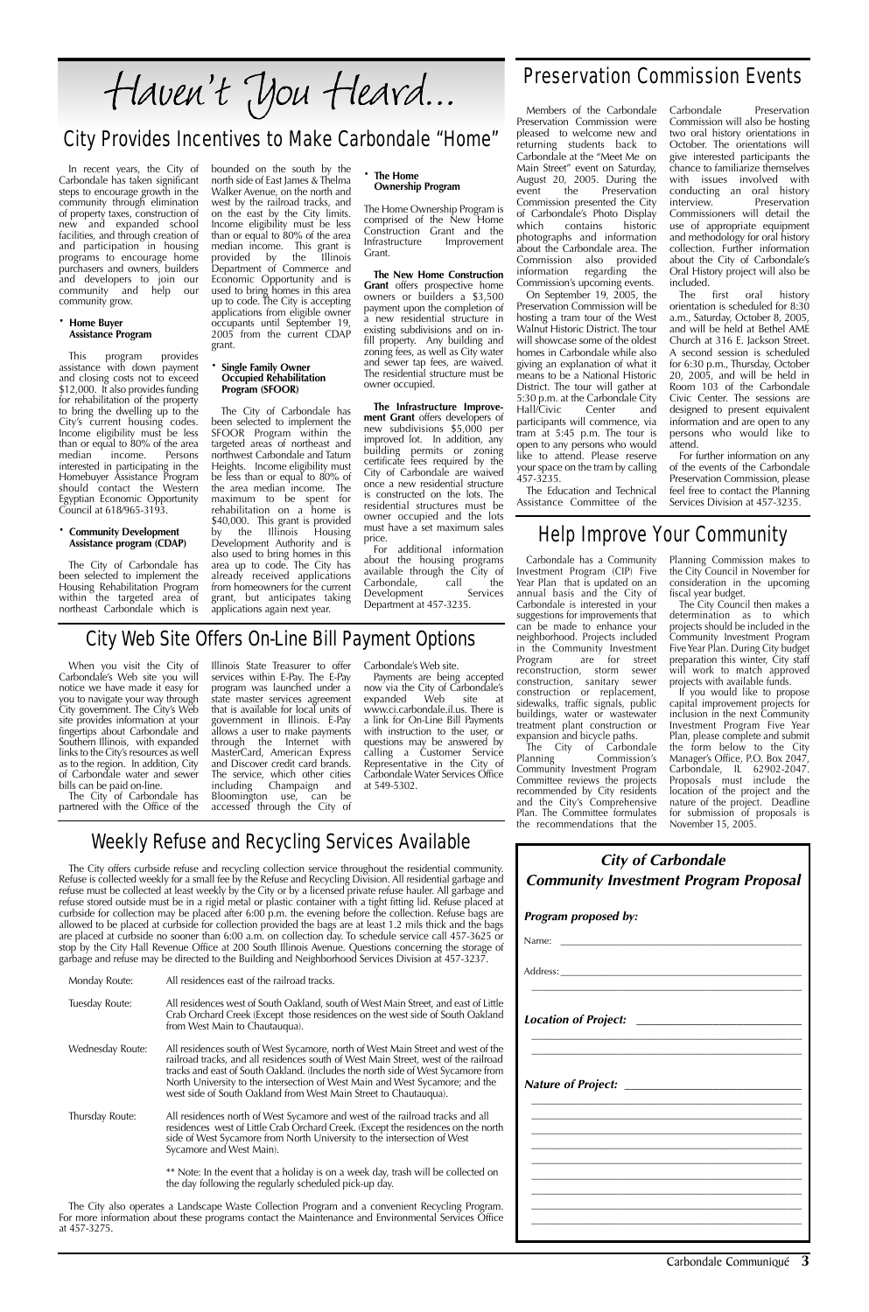Carbondale Communiqué **3**

Carbondale has taken significant steps to encourage growth in the community through elimination of property taxes, construction of new and expanded school facilities, and through creation of and participation in housing programs to encourage home purchasers and owners, builders and developers to join our community and help our community grow.

#### **· Home Buyer Assistance Program**

This program provides assistance with down payment and closing costs not to exceed \$12,000. It also provides funding for rehabilitation of the property to bring the dwelling up to the City's current housing codes. Income eligibility must be less than or equal to 80% of the area median income. Persons interested in participating in the Homebuyer Assistance Program should contact the Western Egyptian Economic Opportunity Council at 618/965-3193.

In recent years, the City of bounded on the south by the north side of East James & Thelma Walker Avenue, on the north and west by the railroad tracks, and on the east by the City limits. Income eligibility must be less than or equal to 80% of the area median income. This grant is<br>provided by the Illinois provided by the Illinois Department of Commerce and Economic Opportunity and is used to bring homes in this area up to code. The City is accepting applications from eligible owner occupants until September 19, 2005 from the current CDAP grant.

#### **· Community Development Assistance program (CDAP)**

The City of Carbondale has been selected to implement the Housing Rehabilitation Program within the targeted area of northeast Carbondale which is

#### **· Single Family Owner Occupied Rehabilitation Program (SFOOR)**

The City of Carbondale has been selected to implement the SFOOR Program within the targeted areas of northeast and northwest Carbondale and Tatum Heights. Income eligibility must be less than or equal to 80% of the area median income. The maximum to be spent for rehabilitation on a home is \$40,000. This grant is provided by the Illinois Housing Development Authority and is also used to bring homes in this area up to code. The City has already received applications from homeowners for the current grant, but anticipates taking applications again next year.

#### **· The Home Ownership Program**

The Home Ownership Program is comprised of the New Home Construction Grant and the<br>Infrastructure Improvement Improvement Grant.

**The New Home Construction Grant** offers prospective home owners or builders a \$3,500 payment upon the completion of a new residential structure in existing subdivisions and on infill property. Any building and zoning fees, as well as City water and sewer tap fees, are waived. The residential structure must be owner occupied.

included.<br>The first The first oral history orientation is scheduled for 8:30 a.m., Saturday, October 8, 2005, and will be held at Bethel AME Church at 316 E. Jackson Street. A second session is scheduled for 6:30 p.m., Thursday, October 20, 2005, and will be held in Room 103 of the Carbondale Civic Center. The sessions are designed to present equivalent information and are open to any persons who would like to attend.

**The Infrastructure Improvement Grant** offers developers of new subdivisions \$5,000 per improved lot. In addition, any building permits or zoning certificate fees required by the City of Carbondale are waived once a new residential structure is constructed on the lots. The residential structures must be owner occupied and the lots must have a set maximum sales price.

For additional information about the housing programs available through the City of Carbondale, call the<br>Development Services Development Department at 457-3235.

## Haven't You Heard...

### City Provides Incentives to Make Carbondale "Home"

### Preservation Commission Events

Members of the Carbondale Preservation Commission were pleased to welcome new and returning students back to Carbondale at the "Meet Me on Main Street" event on Saturday, August 20, 2005. During the event the Preservation event the Preservation Commission presented the City of Carbondale's Photo Display<br>which contains historic contains photographs and information about the Carbondale area. The Commission also provided information regarding the Commission's upcoming events.

On September 19, 2005, the Preservation Commission will be hosting a tram tour of the West Walnut Historic District. The tour will showcase some of the oldest homes in Carbondale while also giving an explanation of what it means to be a National Historic District. The tour will gather at 5:30 p.m. at the Carbondale City Hall/Civic Center and participants will commence, via tram at 5:45 p.m. The tour is open to any persons who would like to attend. Please reserve your space on the tram by calling 457-3235.

The Education and Technical Assistance Committee of the Carbondale Preservation Commission will also be hosting two oral history orientations in October. The orientations will give interested participants the chance to familiarize themselves with issues involved with conducting an oral history interview. Preservation Commissioners will detail the use of appropriate equipment and methodology for oral history collection. Further information about the City of Carbondale's Oral History project will also be

For further information on any of the events of the Carbondale Preservation Commission, please feel free to contact the Planning Services Division at 457-3235.

When you visit the City of Carbondale's Web site you will notice we have made it easy for you to navigate your way through City government. The City's Web site provides information at your fingertips about Carbondale and Southern Illinois, with expanded links to the City's resources as well as to the region. In addition, City of Carbondale water and sewer bills can be paid on-line.

The City of Carbondale has partnered with the Office of the Illinois State Treasurer to offer services within E-Pay. The E-Pay program was launched under a state master services agreement that is available for local units of government in Illinois. E-Pay allows a user to make payments through the Internet with MasterCard, American Express and Discover credit card brands. The service, which other cities<br>including Champaign and including Champaign Bloomington use, can be accessed through the City of

Carbondale's Web site.

Payments are being accepted now via the City of Carbondale's expanded Web site at www.ci.carbondale.il.us. There is a link for On-Line Bill Payments with instruction to the user, or questions may be answered by calling a Customer Service Representative in the City of Carbondale Water Services Office at 549-5302.

### City Web Site Offers On-Line Bill Payment Options

### Help Improve Your Community

The City offers curbside refuse and recycling collection service throughout the residential community. Refuse is collected weekly for a small fee by the Refuse and Recycling Division. All residential garbage and refuse must be collected at least weekly by the City or by a licensed private refuse hauler. All garbage and refuse stored outside must be in a rigid metal or plastic container with a tight fitting lid. Refuse placed at curbside for collection may be placed after 6:00 p.m. the evening before the collection. Refuse bags are allowed to be placed at curbside for collection provided the bags are at least 1.2 mils thick and the bags are placed at curbside no sooner than 6:00 a.m. on collection day. To schedule service call 457-3625 or stop by the City Hall Revenue Office at 200 South Illinois Avenue. Questions concerning the storage of garbage and refuse may be directed to the Building and Neighborhood Services Division at 457-3237.

|                                                                                                                                                                                                                        |                                                                                                                                                                                                                                                                                                                                                                                                                 | Address: and the state of the state of the state of the state of the state of the state of the state of the state of the state of the state of the state of the state of the state of the state of the state of the state of t |
|------------------------------------------------------------------------------------------------------------------------------------------------------------------------------------------------------------------------|-----------------------------------------------------------------------------------------------------------------------------------------------------------------------------------------------------------------------------------------------------------------------------------------------------------------------------------------------------------------------------------------------------------------|--------------------------------------------------------------------------------------------------------------------------------------------------------------------------------------------------------------------------------|
| Monday Route:                                                                                                                                                                                                          | All residences east of the railroad tracks.                                                                                                                                                                                                                                                                                                                                                                     |                                                                                                                                                                                                                                |
| Tuesday Route:                                                                                                                                                                                                         | All residences west of South Oakland, south of West Main Street, and east of Little<br>Crab Orchard Creek (Except those residences on the west side of South Oakland<br>from West Main to Chautauqua).                                                                                                                                                                                                          | <b>Location of Project:</b>                                                                                                                                                                                                    |
| Wednesday Route:                                                                                                                                                                                                       | All residences south of West Sycamore, north of West Main Street and west of the<br>railroad tracks, and all residences south of West Main Street, west of the railroad<br>tracks and east of South Oakland. (Includes the north side of West Sycamore from<br>North University to the intersection of West Main and West Sycamore; and the<br>west side of South Oakland from West Main Street to Chautauqua). | Nature of Project: __________                                                                                                                                                                                                  |
| Thursday Route:                                                                                                                                                                                                        | All residences north of West Sycamore and west of the railroad tracks and all<br>residences west of Little Crab Orchard Creek. (Except the residences on the north<br>side of West Sycamore from North University to the intersection of West<br>Sycamore and West Main).                                                                                                                                       |                                                                                                                                                                                                                                |
|                                                                                                                                                                                                                        | ** Note: In the event that a holiday is on a week day, trash will be collected on<br>the day following the regularly scheduled pick-up day.                                                                                                                                                                                                                                                                     |                                                                                                                                                                                                                                |
| The City also operates a Landscape Waste Collection Program and a convenient Recycling Program.<br>For more information about these programs contact the Maintenance and Environmental Services Office<br>at 457-3275. |                                                                                                                                                                                                                                                                                                                                                                                                                 |                                                                                                                                                                                                                                |

### Weekly Refuse and Recycling Services Available

**City of Carbondale Community Investment Program Proposal**

#### **Program proposed by:**

Name: \_\_\_\_\_\_\_\_\_\_\_\_\_\_\_\_\_\_\_\_\_\_\_\_\_\_\_\_\_\_\_\_\_\_\_\_\_\_\_\_\_\_\_\_\_\_\_\_\_\_

Carbondale has a Community Investment Program (CIP) Five Year Plan that is updated on an annual basis and the City of Carbondale is interested in your suggestions for improvements that can be made to enhance your neighborhood. Projects included in the Community Investment<br>Program are for street are for street reconstruction, storm sewer construction, sanitary sewer construction or replacement, sidewalks, traffic signals, public buildings, water or wastewater treatment plant construction or expansion and bicycle paths.

The City of Carbondale Planning Commission's Community Investment Program Committee reviews the projects recommended by City residents and the City's Comprehensive Plan. The Committee formulates the recommendations that the

Planning Commission makes to the City Council in November for consideration in the upcoming fiscal year budget.

The City Council then makes a determination as to which projects should be included in the Community Investment Program Five Year Plan. During City budget preparation this winter, City staff will work to match approved projects with available funds.

If you would like to propose capital improvement projects for inclusion in the next Community Investment Program Five Year Plan, please complete and submit the form below to the City Manager's Office, P.O. Box 2047, Carbondale, IL 62902-2047. Proposals must include the location of the project and the nature of the project. Deadline for submission of proposals is November 15, 2005.